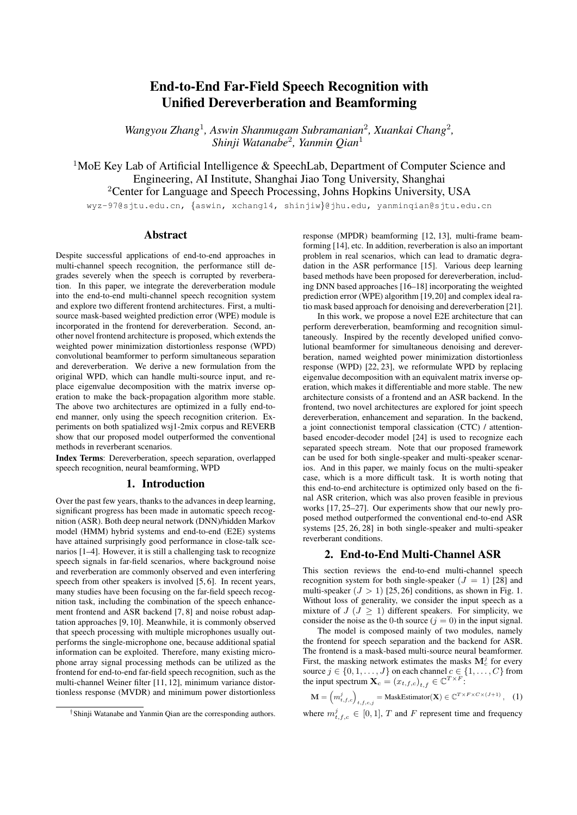# End-to-End Far-Field Speech Recognition with Unified Dereverberation and Beamforming

Wangyou Zhang<sup>1</sup>, Aswin Shanmugam Subramanian<sup>2</sup>, Xuankai Chang<sup>2</sup>, *Shinji Watanabe*<sup>2</sup> *, Yanmin Qian*<sup>1</sup>

<sup>1</sup>MoE Key Lab of Artificial Intelligence & SpeechLab, Department of Computer Science and Engineering, AI Institute, Shanghai Jiao Tong University, Shanghai <sup>2</sup>Center for Language and Speech Processing, Johns Hopkins University, USA

wyz-97@sjtu.edu.cn, {aswin, xchang14, shinjiw}@jhu.edu, yanminqian@sjtu.edu.cn

## Abstract

Despite successful applications of end-to-end approaches in multi-channel speech recognition, the performance still degrades severely when the speech is corrupted by reverberation. In this paper, we integrate the dereverberation module into the end-to-end multi-channel speech recognition system and explore two different frontend architectures. First, a multisource mask-based weighted prediction error (WPE) module is incorporated in the frontend for dereverberation. Second, another novel frontend architecture is proposed, which extends the weighted power minimization distortionless response (WPD) convolutional beamformer to perform simultaneous separation and dereverberation. We derive a new formulation from the original WPD, which can handle multi-source input, and replace eigenvalue decomposition with the matrix inverse operation to make the back-propagation algorithm more stable. The above two architectures are optimized in a fully end-toend manner, only using the speech recognition criterion. Experiments on both spatialized wsj1-2mix corpus and REVERB show that our proposed model outperformed the conventional methods in reverberant scenarios.

Index Terms: Dereverberation, speech separation, overlapped speech recognition, neural beamforming, WPD

# 1. Introduction

Over the past few years, thanks to the advances in deep learning, significant progress has been made in automatic speech recognition (ASR). Both deep neural network (DNN)/hidden Markov model (HMM) hybrid systems and end-to-end (E2E) systems have attained surprisingly good performance in close-talk scenarios [1–4]. However, it is still a challenging task to recognize speech signals in far-field scenarios, where background noise and reverberation are commonly observed and even interfering speech from other speakers is involved [5, 6]. In recent years, many studies have been focusing on the far-field speech recognition task, including the combination of the speech enhancement frontend and ASR backend [7, 8] and noise robust adaptation approaches [9, 10]. Meanwhile, it is commonly observed that speech processing with multiple microphones usually outperforms the single-microphone one, because additional spatial information can be exploited. Therefore, many existing microphone array signal processing methods can be utilized as the frontend for end-to-end far-field speech recognition, such as the multi-channel Weiner filter [11, 12], minimum variance distortionless response (MVDR) and minimum power distortionless response (MPDR) beamforming [12, 13], multi-frame beamforming [14], etc. In addition, reverberation is also an important problem in real scenarios, which can lead to dramatic degradation in the ASR performance [15]. Various deep learning based methods have been proposed for dereverberation, including DNN based approaches [16–18] incorporating the weighted prediction error (WPE) algorithm [19,20] and complex ideal ratio mask based approach for denoising and dereverberation [21].

In this work, we propose a novel E2E architecture that can perform dereverberation, beamforming and recognition simultaneously. Inspired by the recently developed unified convolutional beamformer for simultaneous denoising and dereverberation, named weighted power minimization distortionless response (WPD) [22, 23], we reformulate WPD by replacing eigenvalue decomposition with an equivalent matrix inverse operation, which makes it differentiable and more stable. The new architecture consists of a frontend and an ASR backend. In the frontend, two novel architectures are explored for joint speech dereverberation, enhancement and separation. In the backend, a joint connectionist temporal classication (CTC) / attentionbased encoder-decoder model [24] is used to recognize each separated speech stream. Note that our proposed framework can be used for both single-speaker and multi-speaker scenarios. And in this paper, we mainly focus on the multi-speaker case, which is a more difficult task. It is worth noting that this end-to-end architecture is optimized only based on the final ASR criterion, which was also proven feasible in previous works [17, 25–27]. Our experiments show that our newly proposed method outperformed the conventional end-to-end ASR systems [25, 26, 28] in both single-speaker and multi-speaker reverberant conditions.

## 2. End-to-End Multi-Channel ASR

This section reviews the end-to-end multi-channel speech recognition system for both single-speaker  $(J = 1)$  [28] and multi-speaker  $(J > 1)$  [25, 26] conditions, as shown in Fig. 1. Without loss of generality, we consider the input speech as a mixture of  $J (J \ge 1)$  different speakers. For simplicity, we consider the noise as the 0-th source ( $j = 0$ ) in the input signal.

The model is composed mainly of two modules, namely the frontend for speech separation and the backend for ASR. The frontend is a mask-based multi-source neural beamformer. First, the masking network estimates the masks  $\mathbf{M}_c^j$  for every source  $j \in \{0, 1, \ldots, J\}$  on each channel  $c \in \{1, \ldots, C\}$  from the input spectrum  $\mathbf{X}_c = (x_{t,f,c})_{t,f} \in \mathbb{C}^{T \times F}$ :

 $\mathbf{M} = \left(m_{t,f,c}^{j}\right)_{t,f,c,j} = \text{MaskEstimator}(\mathbf{X}) \in \mathbb{C}^{T \times F \times C \times (J+1)},$  (1)

where  $m_{t,f,c}^j \in [0,1]$ , T and F represent time and frequency

<sup>†</sup>Shinji Watanabe and Yanmin Qian are the corresponding authors.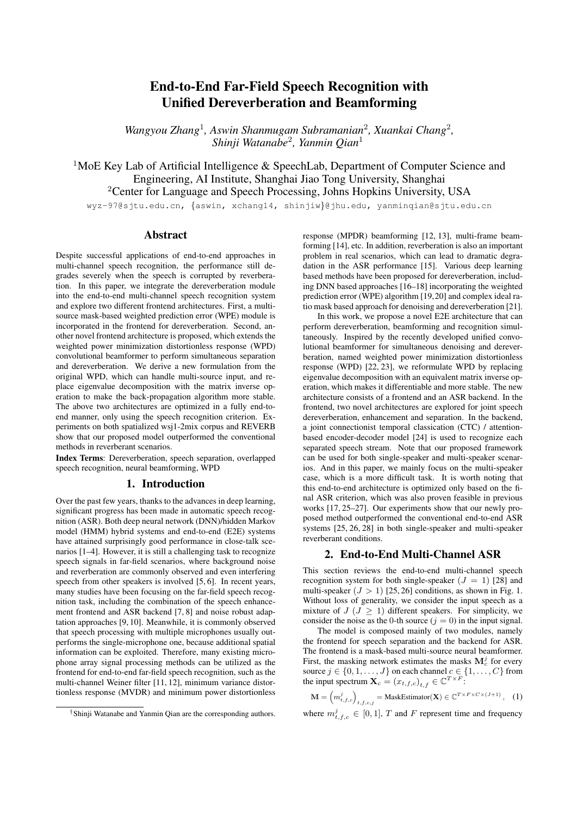

Figure 1: *End-to-End Multi-channel ASR Model.*

dimensions respectively. Second, the multi-source neural beamformer separates the mixture into  $J$  streams using the MVDR formalization [12]. The estimated masks are used to compute the cross-channel power spectral density (PSD) matrices  $\Phi^{j}$ [29–31] and then the time-invariant filter  $g_f^j$  for each speaker j:

$$
\Phi_f^j = \frac{1}{\sum_{t=1}^T m_{t,f}^j} \sum_{t=1}^T m_{t,f}^j \mathbf{x}_{t,f} \mathbf{x}_{t,f}^H \in \mathbb{C}^{C \times C}, \quad (2)
$$

$$
\mathbf{g}_f^j = \frac{(\sum_{i \neq j} \mathbf{\Phi}_f^i)^{-1} \mathbf{\Phi}_f^j}{\text{Trace}((\sum_{i \neq j} \mathbf{\Phi}_f^i)^{-1} \mathbf{\Phi}_f^j)} \mathbf{u} \in \mathbb{C}^C, \tag{3}
$$

where  $\mathbf{x}_{t,f} = \{x_{t,f,c}\}_{c=1}^C, m_{t,f}^j = \frac{1}{C} \sum_{c=1}^C m_{t,f,c}^j, (\cdot)^H$  represents the conjugate transpose, and  $\mathbf{u} \in \mathbb{R}^C$  is a vector denoting the reference microphone estimated by an attention mechanism [32]. Finally, the separated speech  $\hat{\mathbf{X}}^{\text{enh},j}$  of each speaker j is derived by applying the filters  $g^j$  to the input speech **X**, from which the log Mel-filterbank feature with global mean and variance normalization (GMVN-LMF(·)) is further extracted:

$$
\hat{x}_{t,f}^{\text{enh},j} = (\mathbf{g}_f^j)^H \mathbf{x}_{t,f} \in \mathbb{C},\tag{4}
$$

$$
\mathbf{O}^j = \text{GMVN-LMF}(|\hat{\mathbf{X}}^{\text{enh},j}|),\tag{5}
$$

where  $\hat{\mathbf{X}}^{\text{enh},j} \in \mathbb{C}^{T \times F}$ , and  $\mathbf{O}^j$  is the extracted feature for ASR.

The backend is a joint CTC/attention-based encoderdecoder model [24] for single-channel speech recognition. First, the encoder transforms the feature  $\overline{\mathbf{O}}^{\overline{j}} = {\mathbf{o}_1^j, \dots, \mathbf{o}_T^j}$ of each speaker j into a high-level representation  $H^j$  =  $\{h_1^j, \ldots, h_L^j\}$  ( $L \leq T$ ) with subsampling. Then, the representation is processed by the attention-based decoder to generate the output token sequences  $\mathbf{Y}^j = \{y_1^j, \dots, y_N^j\}$ . The ASR process is formulated as follows:

$$
\mathbf{H}^{j} = \text{Encoder}(\mathbf{O}^{j}),\tag{6}
$$

$$
\mathbf{y}_n^j \sim \text{Attention-Decoder}(\mathbf{H}^j, \mathbf{y}_{n-1}^j), \tag{7}
$$

where  $y_n^j$  is the posterior probability vector for the *n*-th token. Note that in the multi-speaker case, i.e.  $J > 1$ , in order to solve the label ambiguity problem, the permutation invariant training (PIT) technique [33–36] is further applied in the CTC module to determine the order of the label sequences. The whole model is optimized with only the ASR loss  $\mathcal L$  combining the attention and CTC losses with the determined label sequence order.

## 3. End-to-End ASR with Unified Frontend

In this section, we introduce the proposed multi-channel speech recognition architecture for coping with the reverberant speech. First, we describe the mask-based WPE model for multichannel dereverberation. Then, we show a cascade integra-



Figure 2: *Proposed end-to-end ASR arch#1: cascaded dereverberation and beamforming frontend.*

tion method which incorporates the mask-based WPE model followed by the model introduced in last Section, where the WPE filter coefficients are estimated for each speaker. Furthermore, another frontend architecture extending the WPD beamformer [22] is designed, which unifies the dereverberation and beamforming modules with our new formulation.

## 3.1. Mask-based WPE model

The mask-based WPE algorithm [16] is introduced in this subsection. First, the input spectrum  $\mathbf{X} = (\mathbf{x}_{t,f})_{t,f}$  is fed into a neural network to estimate a time-frequency mask  $m =$  $(m_{t,f,c})_{t,f,c}$ , as formulated below:

$$
\mathbf{m} = \text{MaskEstimator}(\mathbf{X}) \qquad \in \mathbb{R}^{T \times F \times C}, \quad (8)
$$

$$
\mathbf{x}_{t,f} = \mathbf{x}'_{t,f} + \mathbf{n}_{t,f} \approx \sum_{j=1}^{J} \mathbf{v}^j_f s^j_{t,f} + \mathbf{n}_{t,f} \quad \in \mathbb{C}^C \,, \qquad (9)
$$

where  $\mathbf{x}'_{t,f}$  is the direct path and early reflection of the source signal,  $s_{t,f}^j$  is the j-th source signal,  $\mathbf{v}_f = [v_f^{(0)}, v_f^{(1)}, \cdots,$  $v_f^{(C-1)}$ ]<sup>T</sup>  $\in \mathbb{C}^C$  is the steering vector, and  $\mathbf{n}_{t,f} \in \mathbb{C}^C$  is the noise and late reverberation of source signals.

With the estimated mask, the time-variant power  $\lambda_{t,f}$  of the input signal can be estimated by Eq. (10), and then the signal can be dereverberated via a standard WPE procedure:

$$
\lambda_{t,f} = \frac{1}{C} \sum_{c=1}^{C} \frac{m_{t,f,c}}{\frac{1}{T} \sum_{\tau=1}^{T} m_{\tau,f,c}} |x_{t,f,c}|^2 \in \mathbb{R}, \quad (10)
$$

$$
\hat{\mathbf{x}}_{t,f}^{\text{wpe}} = \text{WPE}\left(\mathbf{x}_{t,f}, \lambda_{t,f}\right),\tag{11}
$$

#### 3.2. Cascaded dereverberation and beamforming

One straightforward way to enable dereverberation in the multichannel ASR system in Section 2 is the cascade integration of the mask-based WPE model and the neural beamformer like [27]. As illustrated in Fig. 2, the multi-channel input speech mixture is first fed into the mask-based WPE model, which is composed of a mask estimator and a WPE filter. Then the dereverberated speech is processed by the beamformer introduced in Section 2 to generate the enhanced single-channel speech of J speakers for speech recognition. The frontend process can be formulated as follows:<br> $\hat{\mathbf{X}}^{\text{enh}} = \text{Mask-R}$ 

$$
\hat{\mathbf{X}}^{\text{enh}} = \text{Mask-Beamformer}(\text{Mask-WPE}(\mathbf{X})), \quad (12)
$$

where  $\hat{\mathbf{X}}^{\text{enh}} = {\{\hat{\mathbf{X}}^{\text{enh},j}\}}_{j=1}^J \in \mathbb{C}^{T \times F \times J}$  is the set of the separated speech from all speakers, Mask-Beamformer( $\cdot$ ) and Mask-WPE $(\cdot)$  denote the respective modules in Fig. 2. The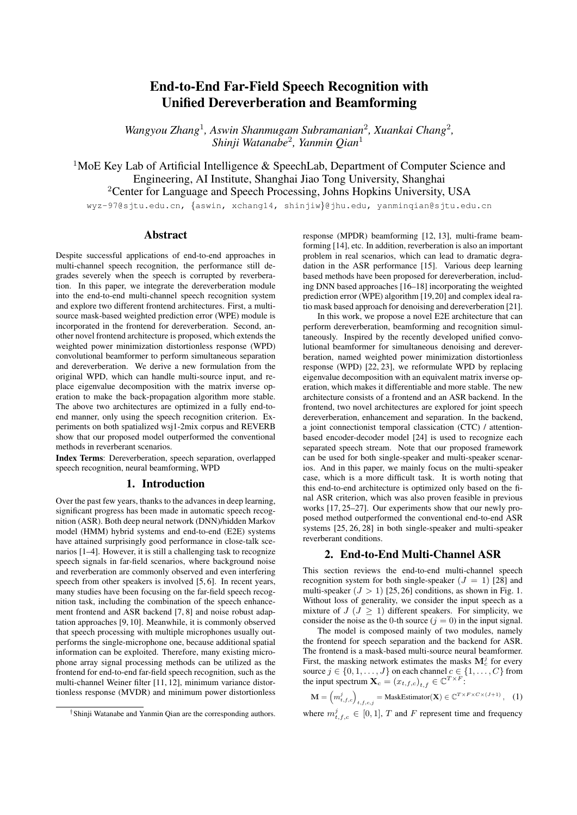

Figure 3: *Proposed end-to-end ASR arch#2: unified dereverberation and beamforming frontend.*

ASR backend here is the same as that described in Section 2.

#### 3.3. Unified dereverberation and beamforming

The original WPD beamformer [22] aims to eliminate the late reverberation and noise from the noisy signal, while keeping the direct signal undistorted. It combines the ideas of WPE and MPDR beamformer [13], and optimizes their filters at the same time, with the constrained optimization objective below:

$$
\bar{\mathbf{w}} = \argmin_{\bar{\mathbf{w}}} \sum_{t} \frac{|\bar{\mathbf{w}}_f^H \bar{\mathbf{x}}_{t,f}|^2}{\lambda_{t,f}} \quad \text{s.t.} \quad \mathbf{w}_{0,f}^H \mathbf{v}_f = v_f^{\text{(ref)}} \tag{13}
$$

where  $\overline{\mathbf{w}} = [\mathbf{w}_{0,f}^T, \mathbf{w}_{D,f}^T, \mathbf{w}_{D+1,f}^T, \cdots, \mathbf{w}_{K+D-1,f}^T]^T \in$  $\mathbb{C}^{C(K+1)}$  is the WPD filter coefficient,  $\bar{\mathbf{x}}_{t,f} = [\mathbf{x}_{t,f}^T, \mathbf{x}_{t-D,f}^T,$  $\mathbf{x}_{t-D-1,f}^T, \cdots, \mathbf{x}_{t-K-D+1,f}^T]^T \in \mathbb{C}^{C(K+1)}$  is the concatenation of input signals of current and previous frames,  $D$  is the delay parameter, K is the number of filter taps,  $v_f^{\text{(ref)}}$  is the value of the steering vector at the reference channel, and  $\lambda_{t,f}$  is the power of the desired signal as in Eq. (10).

By solving the above constrained optimization problem, we can calculate the WPD filter  $\bar{w}_f$  and the enhanced signal  $\hat{X}^{\text{enh}}$ by the following formulas:

$$
\bar{\mathbf{w}}_f = \frac{\mathbf{R}_f^{-1} \bar{\mathbf{v}}_f}{\bar{\mathbf{v}}_f^H \mathbf{R}_f^{-1} \bar{\mathbf{v}}_f} \left( v_f^{\text{(ref)}} \right)^* \qquad \in \mathbb{C}^{C(K+1)}, \tag{14}
$$

$$
\mathbf{R}_{f} = \sum_{t=D}^{T} \frac{\bar{\mathbf{x}}_{t-D,f} \bar{\mathbf{x}}_{t-D,f}^{H}}{\lambda_{t,f}} \quad \in \mathbb{C}^{C(K+1)\times C(K+1)}, \tag{15}
$$

$$
\hat{\mathbf{X}}_{t,f}^{\text{enh}} = \bar{\mathbf{w}}_f^H \bar{\mathbf{x}}_{t,f} \qquad \in \mathbb{C}, \qquad (16)
$$

where  $\mathbf{R}_f$  is the power normalized covariance matrix,  $\bar{\mathbf{v}}_f$  =  $[\mathbf{v}_f^T, \mathbf{0}, \cdots, \mathbf{0}]^T \in \mathbb{C}^{C(K+1)}$ , and  $(\cdot)^*$  denotes complex conjugate. While the original WPD can perform denoising and dereverberation simultaneously with an elegant formulation, it is only designed for speech enhancement of the single-speaker input. In addition, the steering vector  $\bar{v}$  in Eq. (14) is needed for calculating the beamformer weights, which requires the direction information of the sound source or needs to be approximated by eigenvalue decomposition of a complex matrix [23].

Based on the above formulation, we first derive another equivalent formula that no longer requires the steering vector  $\bar{v}_f$ , and then extend the original WPD to the multi-speaker case. Consider the padded speech signal  $\tilde{\mathbf{x}}_{t,f}^{T} = [\mathbf{x}_{t,f}^{T}, \mathbf{0}, \cdots, \mathbf{0}]^{T} \in$  $\mathbb{C}^{C(K+1)}$ , it is easy to derive from Eq. (9) that:

$$
\tilde{\mathbf{x}}'_{t,f} = \bar{\mathbf{v}}_f s_{t,f} \,, \tag{17}
$$

$$
(\Phi_{\tilde{\mathbf{x}}'\tilde{\mathbf{x}}'})_f = \sum_{t=1}^T \frac{m_{t,f}\tilde{\mathbf{x}}'_{t,f}\tilde{\mathbf{x}}'^H_{t,f}}{\sum_{\tau=1}^T m_{\tau,f}} = \bar{\mathbf{v}}_f \phi_f \bar{\mathbf{v}}_f^H = \bar{\mathbf{v}}_f \bar{\mathbf{v}}_f^H \phi_f, \quad (18)
$$
\n
$$
\lim_{t \to 0} \frac{1}{\sqrt{T}} = \sum_{\tau=1}^T m_{\tau,f} \phi_f \bar{\mathbf{v}}_f^H = \bar{\mathbf{v}}_f \bar{\mathbf{v}}_f^H \phi_f, \quad (19)
$$

$$
v_f^{\text{(ref)}} = \bar{\mathbf{v}}_f^T \bar{\mathbf{u}},\tag{19}
$$

where  $(\mathbf{\Phi}_{\tilde{\mathbf{x}}'\tilde{\mathbf{x}}'})_f \in \mathbb{C}^{C(K+1)\times C(K+1)}$  is the cross-channel PSD matrix of the padded speech signal  $\tilde{\mathbf{x}}'_{t,f}$ ,  $\bar{\mathbf{u}} = [\mathbf{u}^T, \mathbf{0}, \mathbf{u}]$  $\cdots$ ,  $\mathbf{0}^T \in \mathbb{R}^{C(K+1)}$  and  $\mathbf{u} \in \mathbb{R}^C$  is the reference vector denoting the reference microphone estimated by an attention mechanism. Substitute Eq.  $(17) - (19)$  into Eq. (14), we can derive that:

$$
\bar{\mathbf{w}}_f = \frac{\mathbf{R}_f^{-1}(\mathbf{\Phi}_{\tilde{\mathbf{x}}'\tilde{\mathbf{x}}'})_f}{\text{Trace}\left[\mathbf{R}_f^{-1}(\mathbf{\Phi}_{\tilde{\mathbf{x}}'\tilde{\mathbf{x}}'})_f\right]} \bar{\mathbf{u}}.
$$
 (20)

This new formula is equivalent to Eq. (14), but no longer requires the steering vector for calculating the filter weights.

Furthermore, we can easily extend WPD to the multispeaker case. For each speaker  $j$ , the corresponding covariance matrix  $\mathbf{R}_f^j$  can be derived from Eq. (15) and (10), where the estimated mask  $\mathbf{m}^j$  for speaker j is used for both dereverberation and beamforming. Then the WPD beamformer for speaker  $j$  can be calculated from Eq. (20). Finally, the separated speech of each speaker can be derived from Eq. (16), using the corresponding WPD beamformer. Note that the masks for calculating  $\mathbf{R}_f^j$  and  $\mathbf{\Phi}_{\tilde{\mathbf{x}}'\tilde{\mathbf{x}}'}^j$  for each speaker j can be either shared using a single mask estimator or estimated by two separate mask estimators. The WPD based architecture is illustrated in Fig. 3.

## 4. Experiments

To make our experimental results comparable to previous results of MIMO-Speech [25, 26], we evaluated the proposed methods on the same spatialized wsj1-2mix dataset as in [25, 26], which consists of two sub-datasets: anechoic and reverberant. The reverberation time  $(RT_{60})$  of the reverberant data ranges from 200 ms to 600 ms. In each sub-dataset, the duration of the spatialized speech for training, development and evaluation is 98.5 hr, 1.3 hr and 0.8 hr respectively. We also adopt the multi-condition training in [25, 37], i.e. include the WSJ train si284 in training to improve the performance. We also test our methods for single-speaker speech recognition on the RE-VERB dataset [38], which uses 2-channel simulated reverberant data for training and 8-channel real data for evaluation.

For feature extraction, the short-time Fourier transform (STFT) is performed with a 16-kHz sampling rate and a 25-ms Hann window with a 10-ms stride, and the spectral feature's dimension is  $F = 257$ . After the frontend processing, 80dimensional log Mel-filterbank features are extracted from the enhanced spectrum of each separated speech, where the global mean and variance normalization is applied using the statistics from the single-speaker WSJ1 training set. The number of channels for training in our experiments is  $C = 2$ . But it can be extended to an arbitrary number of channels as described in [32].

#### 4.1. Experimental Setup

All our proposed end-to-end multi-channel speech recognition models are implemented based on the ESPnet framework [39].<sup>1</sup> The AdaDelta optimizer with  $\rho = 0.95$  and  $\epsilon = 10^{-8}$  is used for training. The data in both anechoic and reverberant conditions are used for training.

 $1$ Our experimental setup is available at [https://github.com/](https://github.com/Emrys365/espnet/blob/wsj1_mix_spatialized/egs/wsj1_mix_spatialized/asr1/) [Emrys365/espnet/blob/wsj1\\_mix\\_spatialized/egs/](https://github.com/Emrys365/espnet/blob/wsj1_mix_spatialized/egs/wsj1_mix_spatialized/asr1/) [wsj1\\_mix\\_spatialized/asr1/](https://github.com/Emrys365/espnet/blob/wsj1_mix_spatialized/egs/wsj1_mix_spatialized/asr1/).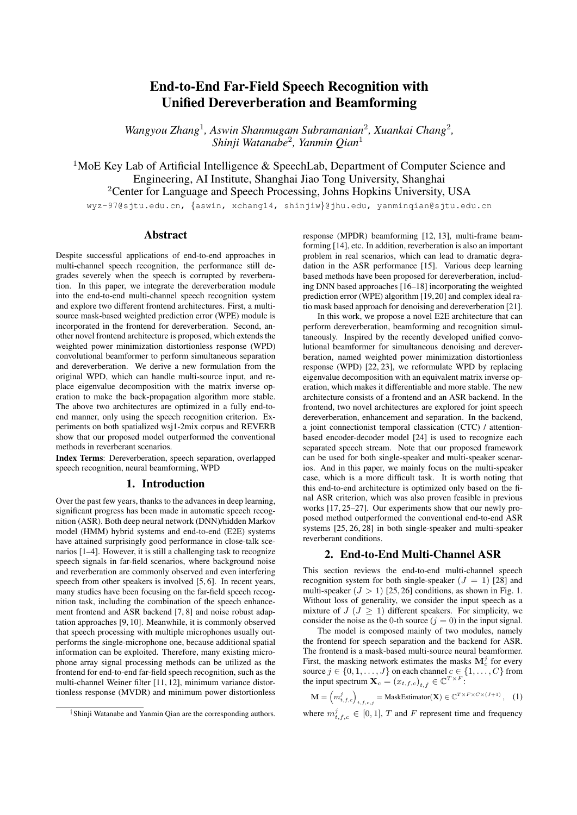Table 1: *Performance (WER [%]) of the proposed arch1 / arch2 models with different numbers of filter taps (*K*) and microphones (*C*) on the spatialized reverberant wsj1-2mix eval set.*

|    | 28.87/27.44 | 17.95/16.67 | 14.92/13.97 |
|----|-------------|-------------|-------------|
| 3  | 27.62/26.42 | 16.65/15.95 | 14.63/14.23 |
| 5  | 21.88/25.54 | 15.93/15.72 | 15.46/16.81 |
|    | 26.62/25.68 | 16.09/16.32 | 18.67/22.40 |
| 10 | 26.64/25.81 | 18.67/19.55 | 27.79/36.28 |

Table 2: *Performance evaluation on the spatialized reverberant wsj1-2mix corpus.*

| Model                               | dev WER $(\%)$ | eval WER $(\%)$ |
|-------------------------------------|----------------|-----------------|
| baseline (RNN backend) [25]         | 34.98          | 29.99           |
| $+$ Nara-WPE [26]                   | 24.45          | 17.67           |
| baseline (Transformer backend) [26] | 32.95          | 28.01           |
| $+$ Nara-WPE [26]                   | 19.17          | 15.24           |
| proposed arch 1                     | 19.37          | 14.63           |
| proposed arch $22$                  | 18.34          | 13.97           |

In the mask-based WPE module, the mask estimation network is a 3-layer bidirectional long-short term memory with projection (BLSTMP) network with 300 cells in each direction. The number of iterations for performing mask-based WPE is set to 1. The prediction delay  $D$  and the number of taps  $K$  is set to 3 and 5 respectively. The mask estimators in both the MVDR beamformer and the WPD beamformer are 3-layer BLSTMP networks with 512 cells. Note that in all our experiments except Section 4.3, we used a shared mask estimator instead of two separate ones in Fig. 3. In the ASR module, following the configurations in [26], we use the CNN-Transformer based encoder, which consists of 2 CNN blocks and 12 Transformer layers, and the 6-layer Transformer-based decoder. The selfattention in all Transformer layers has the same configuration as in [26], i.e. 4 heads and 256 dimensions. As for decoding, a word-level language model [40] trained on the official text data included in the WSJ corpus is used. The interpolation factor between CTC and attention losses is set to 0.2.

For experiments on REVERB, the network configuration and experimental conditions are the same as [28]. The reference microphone is fixed as the second channel. Both dereverberation and denoising subnetworks are trained to predict two dimensional time-frequency masks.

#### 4.2. Evaluation of the proposed architectures for multispeaker speech recognition

Since our proposed architectures can be tested flexibly with different numbers of microphones  $C$  and filter taps  $K$ , even if the model is trained with fixed  $C$  and  $K$ , we first evaluate the performance of the proposed two architectures with different numbers of filter taps and microphones for inference on the reverberant wsj1-2mix dataset. The results are presented in Table 1. We can observe that the performance can be significantly improved when more microphones are available. The number of filter taps closer to the training setup ( $K = 5$ ) usually leads to better results, but with more microphones, using fewer filter taps may also provide enough information for dereverberation and increases the stability of the operations in Eq. (20). The best performance for arch 1 and arch 2 is achieved with

Table 3: *ASR performance on REVERB evaluation real dataset comparing unified and cascade filtering with*  $K = 5 \& C = 8$ *.* 

| Frontend        | Near WER $(\% )$ | Far WER $(\%)$ |
|-----------------|------------------|----------------|
| WPE + MVDR      | 10.8             | 13.6           |
| proposed arch 2 | 8.9              | 11.1           |

 $C = 6, K = 3$  and  $C = 6, K = 1$  respectively.

Then we compare the performances of our proposed models with the baseline models. In Table 2, the baselines are the MIMO-Speech models with RNN backend (row 1) and Transformer backend (row 3) from our previous study [25, 26]. Since these baseline models do not contain a dereverberation module, we also introduce two enhanced baselines (row 2 & 4), i.e. MIMO-Speech with iterative Nara-WPE<sup>3</sup> preprocessing. We ran Nara-WPE with 10 filter taps for 5 iterations to preprocess both training and evaluation data for the baseline models. By comparing the four baselines and our proposed two architectures with best results taken from Table 1, we can observe that both proposed models combining neural dereverberation and beamforming in the end-to-end structure achieve comparable results to the best baseline ones. Note that our models do not need an iterative process compared to the Nara-WPE preprocessing baselines. Finally, our proposed arch 2 model based on WPD outperforms all baseline methods.

#### 4.3. Effectiveness of unified filtering for single source robust speech recognition

We also evaluated our methods in the single source condition on REVERB. We first trained a single source multi-channel E2E ASR model, which is a variant of a cascaded architecture in Section 3.2 based on the WPE and MVDR frontend [28]. Then, we replace the cascaded frontend with the proposed unified WPD frontend, and compare both frontends. Using our WPD unified filter gives a significant improvement in performance over the cascade configuration, as shown in Table 3. This shows that using our unified frontend is also effective for single source data.

These results indicate that our proposed E2E multi-channel speech recognition model is a powerful method for applications in reverberant single-speaker and multi-speaker scenarios.

# 5. Conclusion

In this paper, we proposed an end-to-end multi-channel far-field speech recognition framework with unified dereverberation and beamforming, which is capable of performing speech dereverberation, separation and recognition simultaneously. The whole model is optimized via only the ASR criterion but can still learn relatively good dereverberation and separation skills. Two novel frontend architectures are explored, and promising performance is achieved on the spatialized wsj1-2mix corpus compared to the previous MIMO-Speech model. Experimental results on REVERB dataset also demonstrate the effectiveness of our proposed WPD based architecture.

## 6. Acknowledgement

This work was supported by the China NSFC project No. U1736202. Experiments have been carried out on the PI supercomputers at Shanghai Jiao Tong University. We would like to thank the NTT Communication Laboratories for the use of their DNN-WPE module<sup>4</sup> for our implementation.

<sup>2</sup>The arch 2 model in Table 2 was trained on the basis of a pretrained MIMO-Speech model, since the direct training of arch 2 currently does not work well due to numerical instability issues.

<sup>3</sup>[https://github.com/fgnt/nara\\_wpe](https://github.com/fgnt/nara_wpe)

<sup>4</sup>[https://github.com/nttcslab-sp/dnn\\_wpe](https://github.com/nttcslab-sp/dnn_wpe)